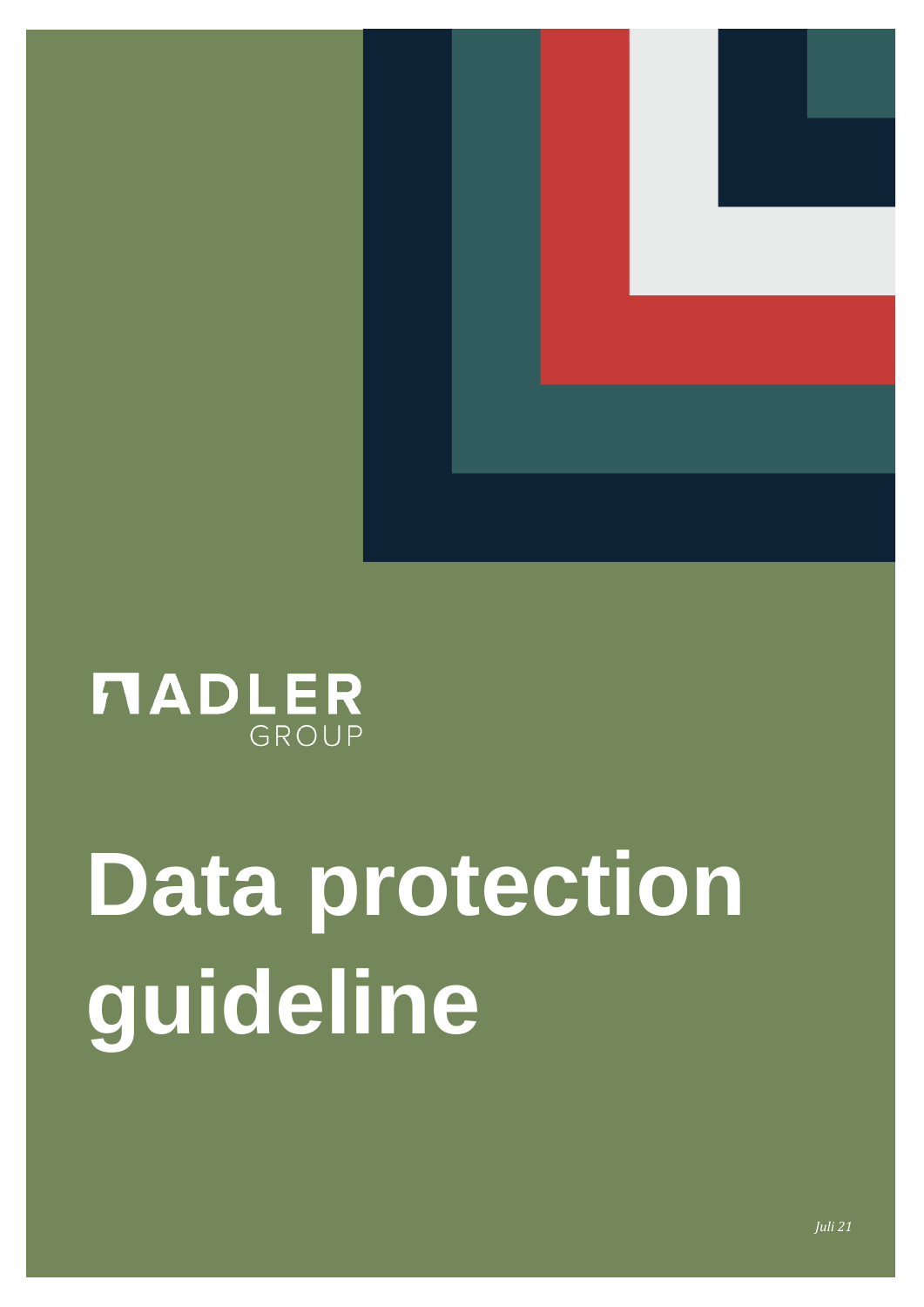

## **MADLER**

# **Data protection guideline**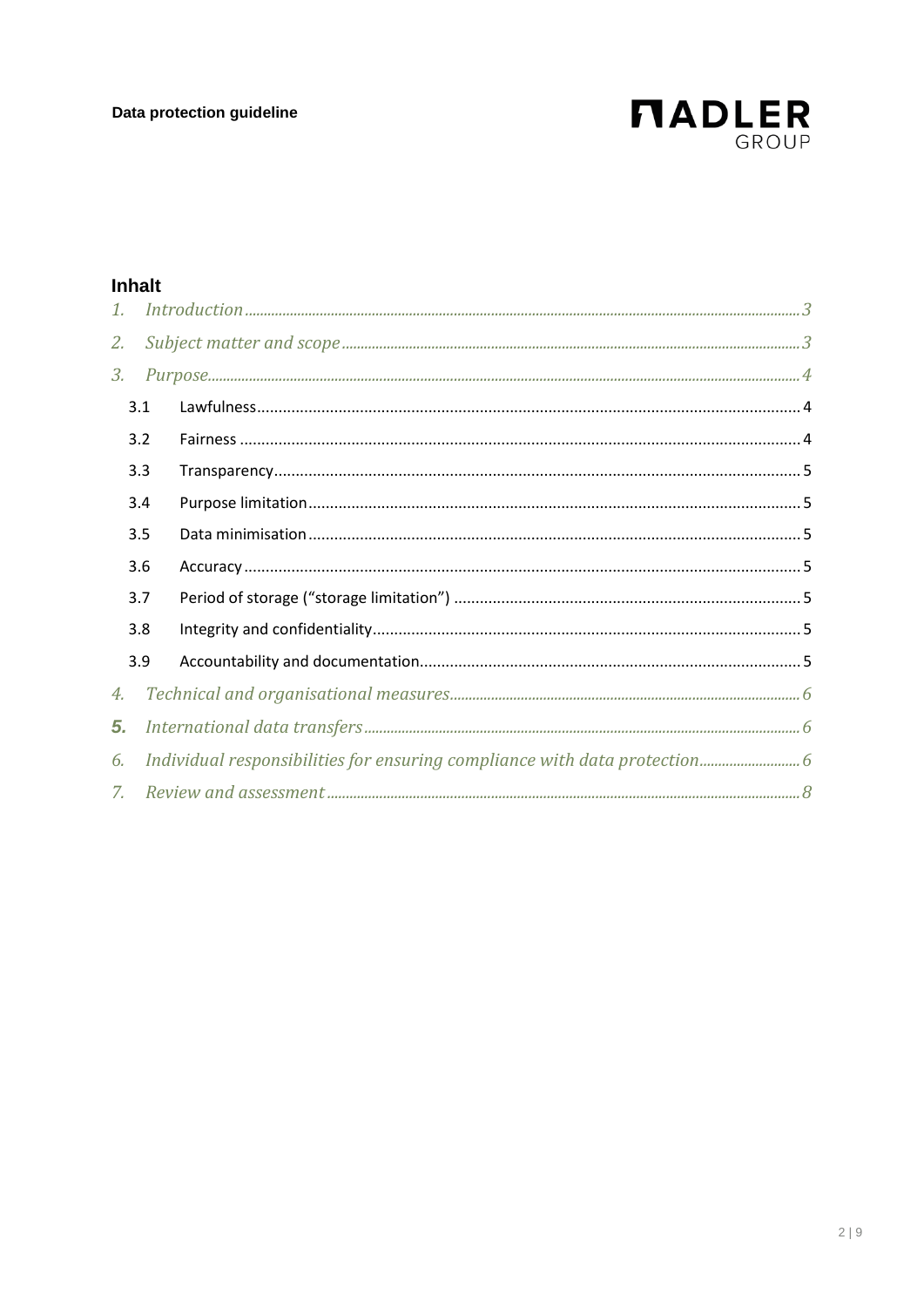

### Inhalt

| 2.  |     |                                                                            |  |
|-----|-----|----------------------------------------------------------------------------|--|
| 3.  |     |                                                                            |  |
|     | 3.1 |                                                                            |  |
|     | 3.2 |                                                                            |  |
| 3.3 |     |                                                                            |  |
|     | 3.4 |                                                                            |  |
|     | 3.5 |                                                                            |  |
|     | 3.6 |                                                                            |  |
|     | 3.7 |                                                                            |  |
| 3.8 |     |                                                                            |  |
|     | 3.9 |                                                                            |  |
| 4.  |     |                                                                            |  |
| 5.  |     |                                                                            |  |
| 6.  |     | Individual responsibilities for ensuring compliance with data protection 6 |  |
|     |     |                                                                            |  |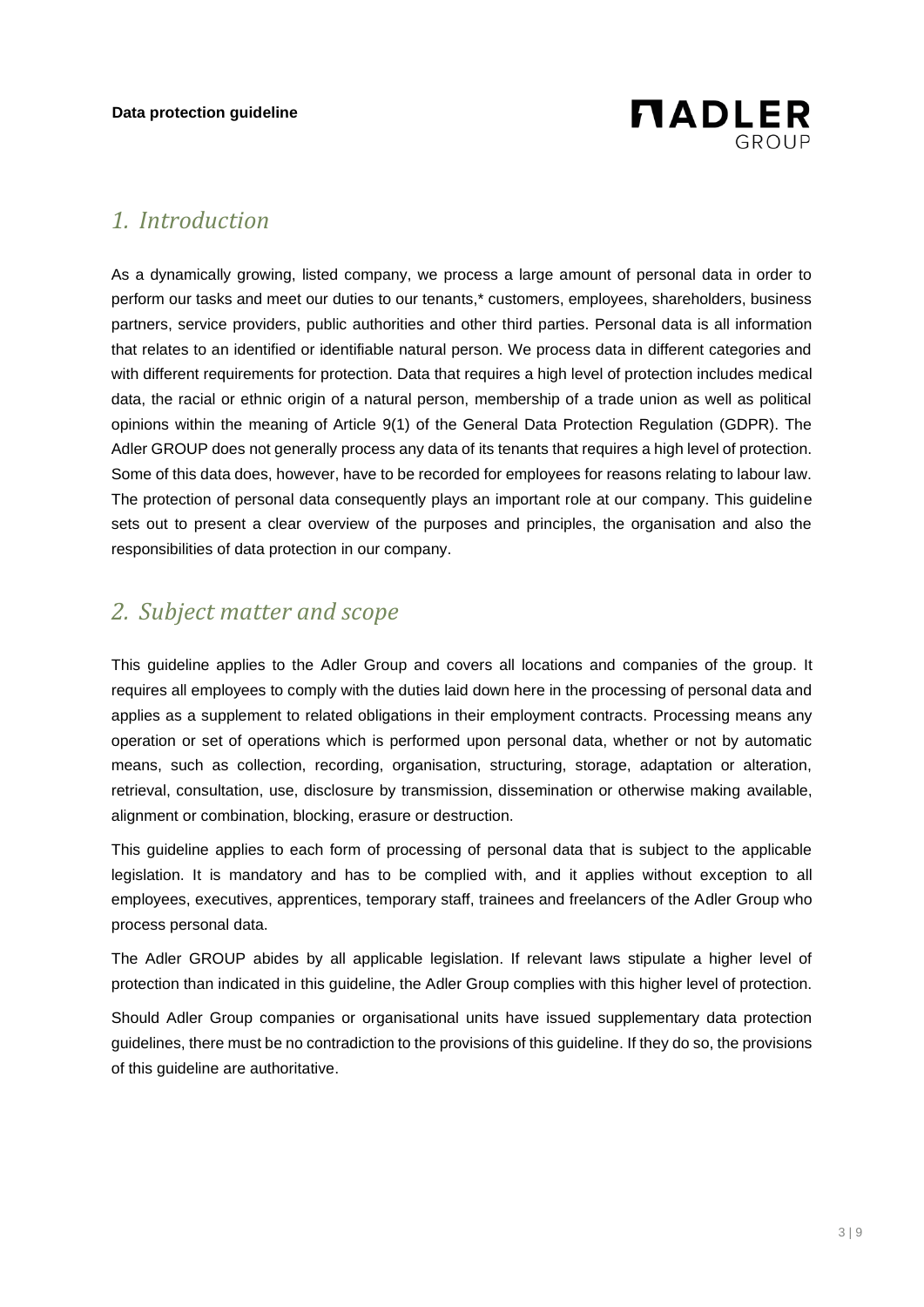

## <span id="page-2-0"></span>*1. Introduction*

As a dynamically growing, listed company, we process a large amount of personal data in order to perform our tasks and meet our duties to our tenants,\* customers, employees, shareholders, business partners, service providers, public authorities and other third parties. Personal data is all information that relates to an identified or identifiable natural person. We process data in different categories and with different requirements for protection. Data that requires a high level of protection includes medical data, the racial or ethnic origin of a natural person, membership of a trade union as well as political opinions within the meaning of Article 9(1) of the General Data Protection Regulation (GDPR). The Adler GROUP does not generally process any data of its tenants that requires a high level of protection. Some of this data does, however, have to be recorded for employees for reasons relating to labour law. The protection of personal data consequently plays an important role at our company. This guideline sets out to present a clear overview of the purposes and principles, the organisation and also the responsibilities of data protection in our company.

## <span id="page-2-1"></span>*2. Subject matter and scope*

This guideline applies to the Adler Group and covers all locations and companies of the group. It requires all employees to comply with the duties laid down here in the processing of personal data and applies as a supplement to related obligations in their employment contracts. Processing means any operation or set of operations which is performed upon personal data, whether or not by automatic means, such as collection, recording, organisation, structuring, storage, adaptation or alteration, retrieval, consultation, use, disclosure by transmission, dissemination or otherwise making available, alignment or combination, blocking, erasure or destruction.

This guideline applies to each form of processing of personal data that is subject to the applicable legislation. It is mandatory and has to be complied with, and it applies without exception to all employees, executives, apprentices, temporary staff, trainees and freelancers of the Adler Group who process personal data.

The Adler GROUP abides by all applicable legislation. If relevant laws stipulate a higher level of protection than indicated in this guideline, the Adler Group complies with this higher level of protection.

Should Adler Group companies or organisational units have issued supplementary data protection guidelines, there must be no contradiction to the provisions of this guideline. If they do so, the provisions of this guideline are authoritative.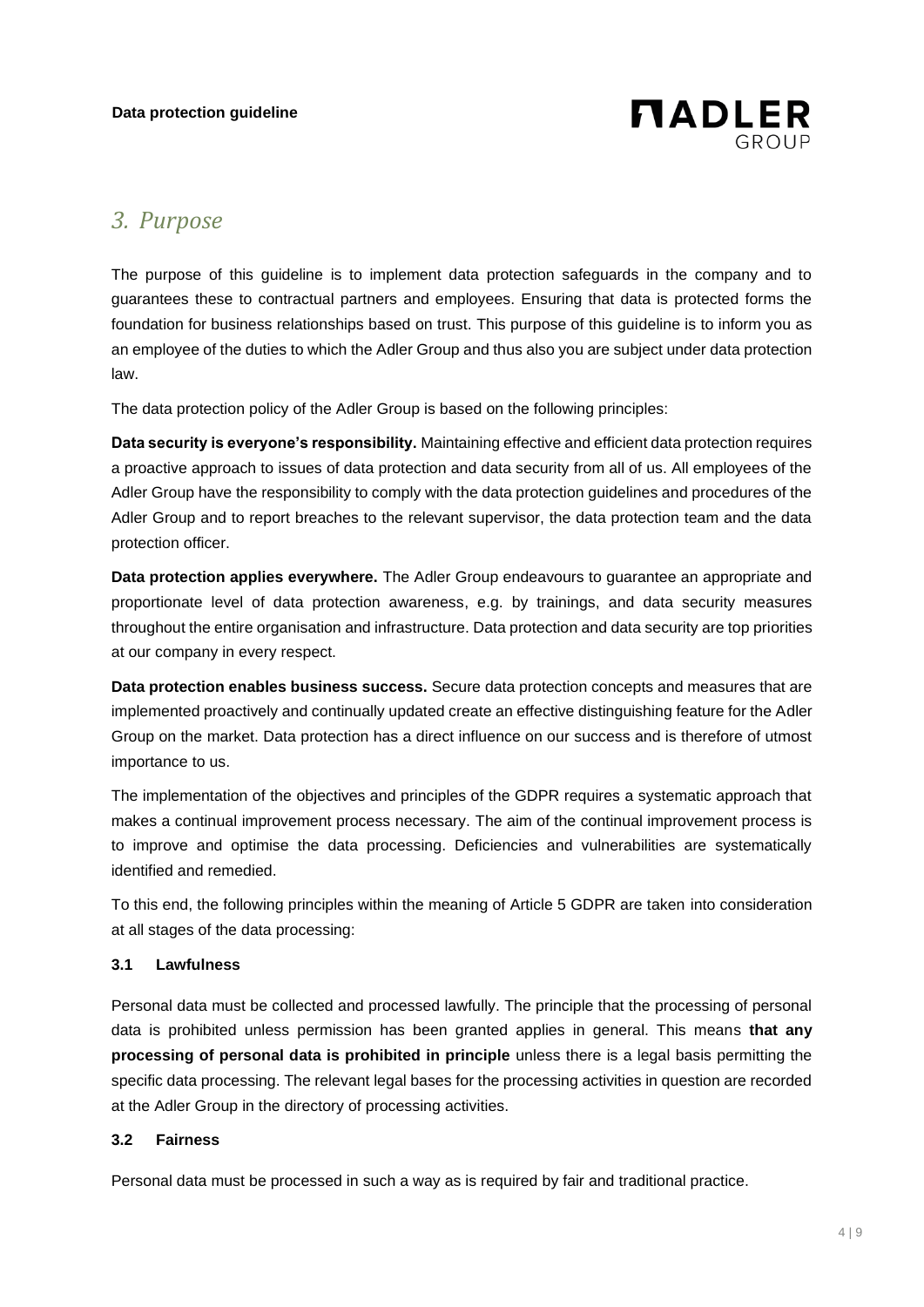

## <span id="page-3-0"></span>*3. Purpose*

The purpose of this guideline is to implement data protection safeguards in the company and to guarantees these to contractual partners and employees. Ensuring that data is protected forms the foundation for business relationships based on trust. This purpose of this guideline is to inform you as an employee of the duties to which the Adler Group and thus also you are subject under data protection law.

The data protection policy of the Adler Group is based on the following principles:

**Data security is everyone's responsibility.** Maintaining effective and efficient data protection requires a proactive approach to issues of data protection and data security from all of us. All employees of the Adler Group have the responsibility to comply with the data protection guidelines and procedures of the Adler Group and to report breaches to the relevant supervisor, the data protection team and the data protection officer.

**Data protection applies everywhere.** The Adler Group endeavours to guarantee an appropriate and proportionate level of data protection awareness, e.g. by trainings, and data security measures throughout the entire organisation and infrastructure. Data protection and data security are top priorities at our company in every respect.

**Data protection enables business success.** Secure data protection concepts and measures that are implemented proactively and continually updated create an effective distinguishing feature for the Adler Group on the market. Data protection has a direct influence on our success and is therefore of utmost importance to us.

The implementation of the objectives and principles of the GDPR requires a systematic approach that makes a continual improvement process necessary. The aim of the continual improvement process is to improve and optimise the data processing. Deficiencies and vulnerabilities are systematically identified and remedied.

To this end, the following principles within the meaning of Article 5 GDPR are taken into consideration at all stages of the data processing:

#### <span id="page-3-1"></span>**3.1 Lawfulness**

Personal data must be collected and processed lawfully. The principle that the processing of personal data is prohibited unless permission has been granted applies in general. This means **that any processing of personal data is prohibited in principle** unless there is a legal basis permitting the specific data processing. The relevant legal bases for the processing activities in question are recorded at the Adler Group in the directory of processing activities.

#### <span id="page-3-2"></span>**3.2 Fairness**

Personal data must be processed in such a way as is required by fair and traditional practice.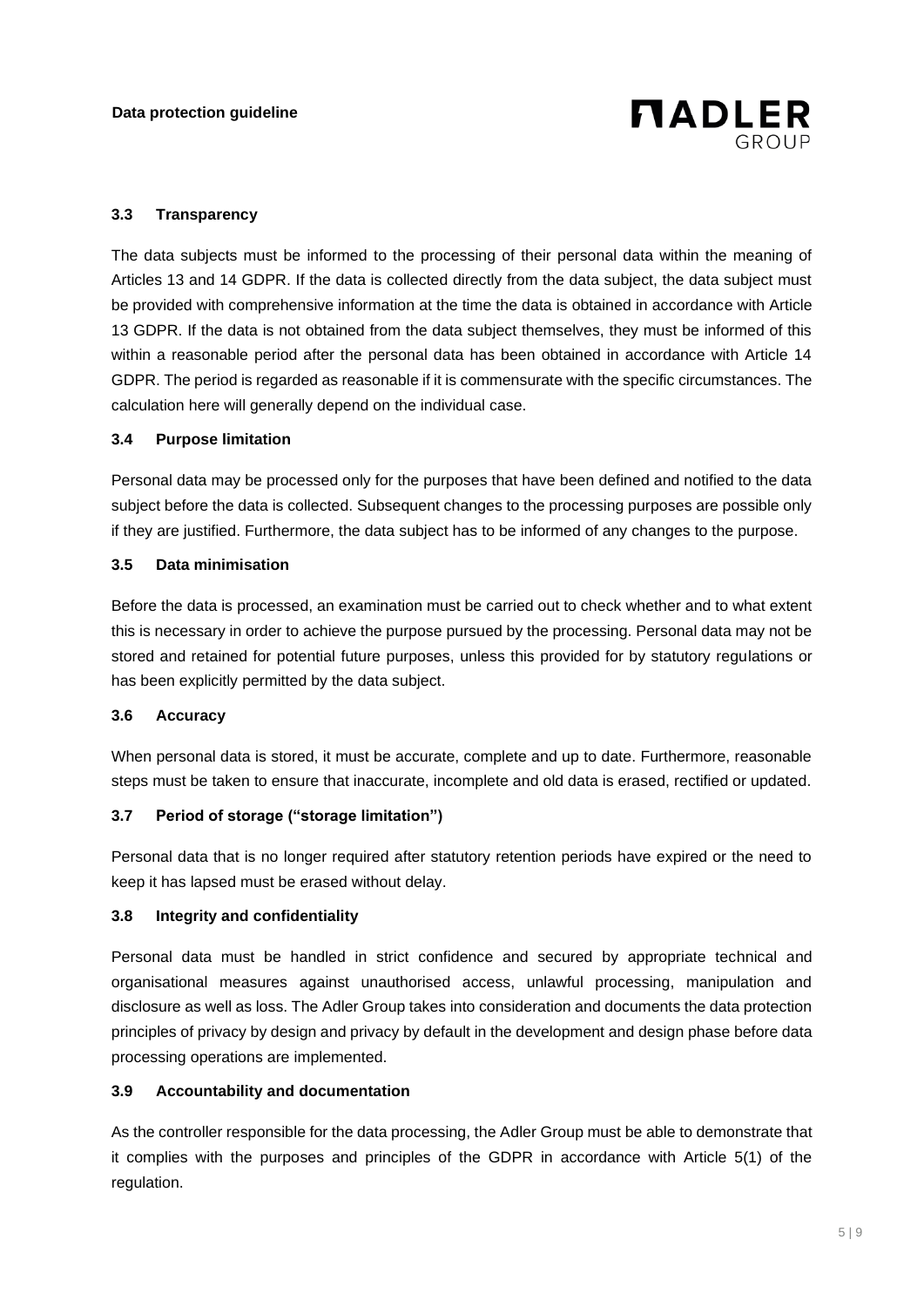

#### <span id="page-4-0"></span>**3.3 Transparency**

The data subjects must be informed to the processing of their personal data within the meaning of Articles 13 and 14 GDPR. If the data is collected directly from the data subject, the data subject must be provided with comprehensive information at the time the data is obtained in accordance with Article 13 GDPR. If the data is not obtained from the data subject themselves, they must be informed of this within a reasonable period after the personal data has been obtained in accordance with Article 14 GDPR. The period is regarded as reasonable if it is commensurate with the specific circumstances. The calculation here will generally depend on the individual case.

#### <span id="page-4-1"></span>**3.4 Purpose limitation**

Personal data may be processed only for the purposes that have been defined and notified to the data subject before the data is collected. Subsequent changes to the processing purposes are possible only if they are justified. Furthermore, the data subject has to be informed of any changes to the purpose.

#### <span id="page-4-2"></span>**3.5 Data minimisation**

Before the data is processed, an examination must be carried out to check whether and to what extent this is necessary in order to achieve the purpose pursued by the processing. Personal data may not be stored and retained for potential future purposes, unless this provided for by statutory regulations or has been explicitly permitted by the data subject.

#### <span id="page-4-3"></span>**3.6 Accuracy**

When personal data is stored, it must be accurate, complete and up to date. Furthermore, reasonable steps must be taken to ensure that inaccurate, incomplete and old data is erased, rectified or updated.

#### <span id="page-4-4"></span>**3.7 Period of storage ("storage limitation")**

Personal data that is no longer required after statutory retention periods have expired or the need to keep it has lapsed must be erased without delay.

#### <span id="page-4-5"></span>**3.8 Integrity and confidentiality**

Personal data must be handled in strict confidence and secured by appropriate technical and organisational measures against unauthorised access, unlawful processing, manipulation and disclosure as well as loss. The Adler Group takes into consideration and documents the data protection principles of privacy by design and privacy by default in the development and design phase before data processing operations are implemented.

#### <span id="page-4-6"></span>**3.9 Accountability and documentation**

As the controller responsible for the data processing, the Adler Group must be able to demonstrate that it complies with the purposes and principles of the GDPR in accordance with Article 5(1) of the regulation.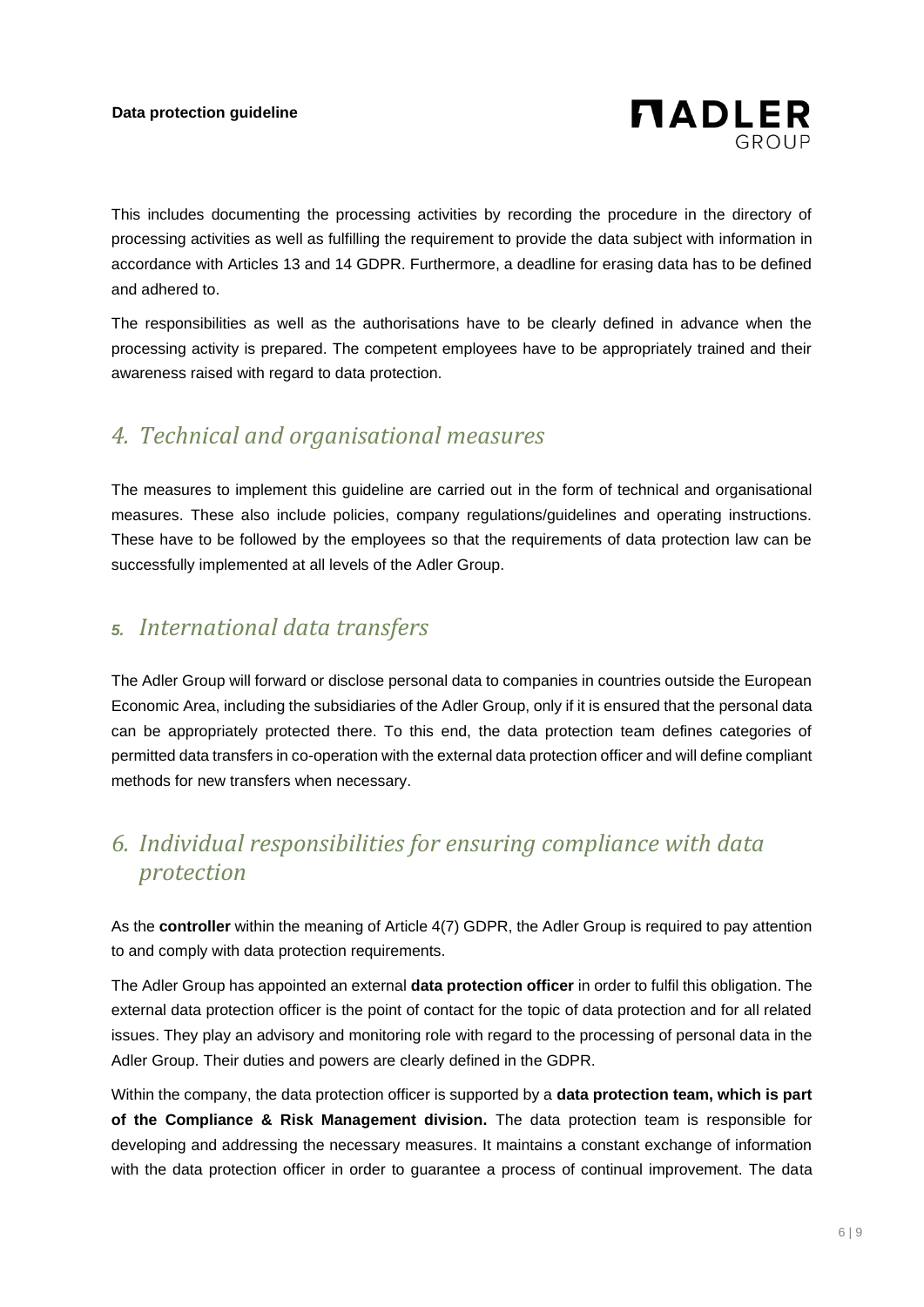

This includes documenting the processing activities by recording the procedure in the directory of processing activities as well as fulfilling the requirement to provide the data subject with information in accordance with Articles 13 and 14 GDPR. Furthermore, a deadline for erasing data has to be defined and adhered to.

The responsibilities as well as the authorisations have to be clearly defined in advance when the processing activity is prepared. The competent employees have to be appropriately trained and their awareness raised with regard to data protection.

## <span id="page-5-0"></span>*4. Technical and organisational measures*

The measures to implement this guideline are carried out in the form of technical and organisational measures. These also include policies, company regulations/guidelines and operating instructions. These have to be followed by the employees so that the requirements of data protection law can be successfully implemented at all levels of the Adler Group.

## <span id="page-5-1"></span>*5. International data transfers*

The Adler Group will forward or disclose personal data to companies in countries outside the European Economic Area, including the subsidiaries of the Adler Group, only if it is ensured that the personal data can be appropriately protected there. To this end, the data protection team defines categories of permitted data transfers in co-operation with the external data protection officer and will define compliant methods for new transfers when necessary.

## <span id="page-5-2"></span>*6. Individual responsibilities for ensuring compliance with data protection*

As the **controller** within the meaning of Article 4(7) GDPR, the Adler Group is required to pay attention to and comply with data protection requirements.

The Adler Group has appointed an external **data protection officer** in order to fulfil this obligation. The external data protection officer is the point of contact for the topic of data protection and for all related issues. They play an advisory and monitoring role with regard to the processing of personal data in the Adler Group. Their duties and powers are clearly defined in the GDPR.

Within the company, the data protection officer is supported by a **data protection team, which is part of the Compliance & Risk Management division.** The data protection team is responsible for developing and addressing the necessary measures. It maintains a constant exchange of information with the data protection officer in order to guarantee a process of continual improvement. The data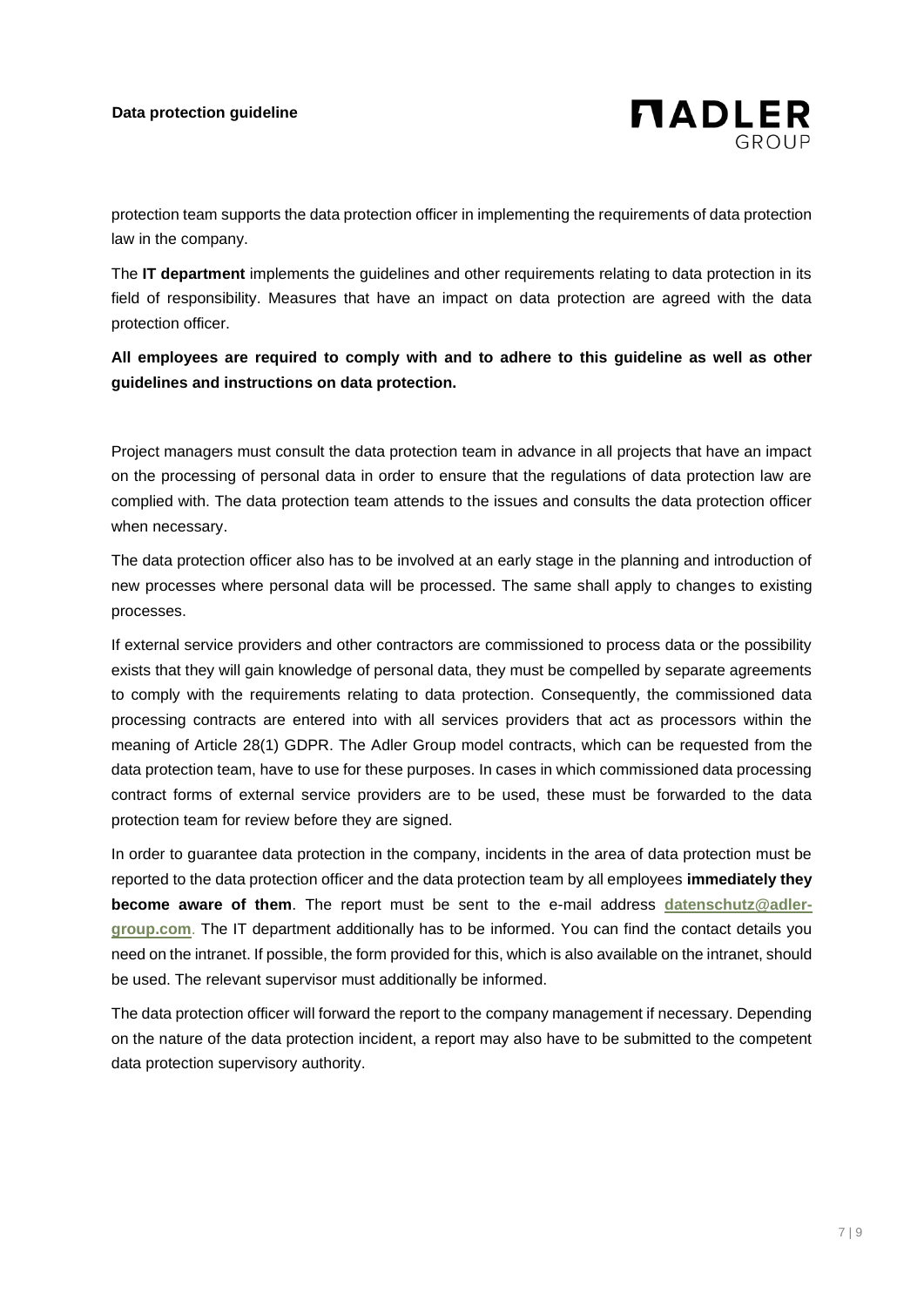#### **Data protection guideline**



protection team supports the data protection officer in implementing the requirements of data protection law in the company.

The **IT department** implements the guidelines and other requirements relating to data protection in its field of responsibility. Measures that have an impact on data protection are agreed with the data protection officer.

**All employees are required to comply with and to adhere to this guideline as well as other guidelines and instructions on data protection.**

Project managers must consult the data protection team in advance in all projects that have an impact on the processing of personal data in order to ensure that the regulations of data protection law are complied with. The data protection team attends to the issues and consults the data protection officer when necessary.

The data protection officer also has to be involved at an early stage in the planning and introduction of new processes where personal data will be processed. The same shall apply to changes to existing processes.

If external service providers and other contractors are commissioned to process data or the possibility exists that they will gain knowledge of personal data, they must be compelled by separate agreements to comply with the requirements relating to data protection. Consequently, the commissioned data processing contracts are entered into with all services providers that act as processors within the meaning of Article 28(1) GDPR. The Adler Group model contracts, which can be requested from the data protection team, have to use for these purposes. In cases in which commissioned data processing contract forms of external service providers are to be used, these must be forwarded to the data protection team for review before they are signed.

In order to guarantee data protection in the company, incidents in the area of data protection must be reported to the data protection officer and the data protection team by all employees **immediately they become aware of them**. The report must be sent to the e-mail address **[datenschutz@adler](mailto:datenschutz@adler-group.com)[group.com](mailto:datenschutz@adler-group.com)**. The IT department additionally has to be informed. You can find the contact details you need on the intranet. If possible, the form provided for this, which is also available on the intranet, should be used. The relevant supervisor must additionally be informed.

The data protection officer will forward the report to the company management if necessary. Depending on the nature of the data protection incident, a report may also have to be submitted to the competent data protection supervisory authority.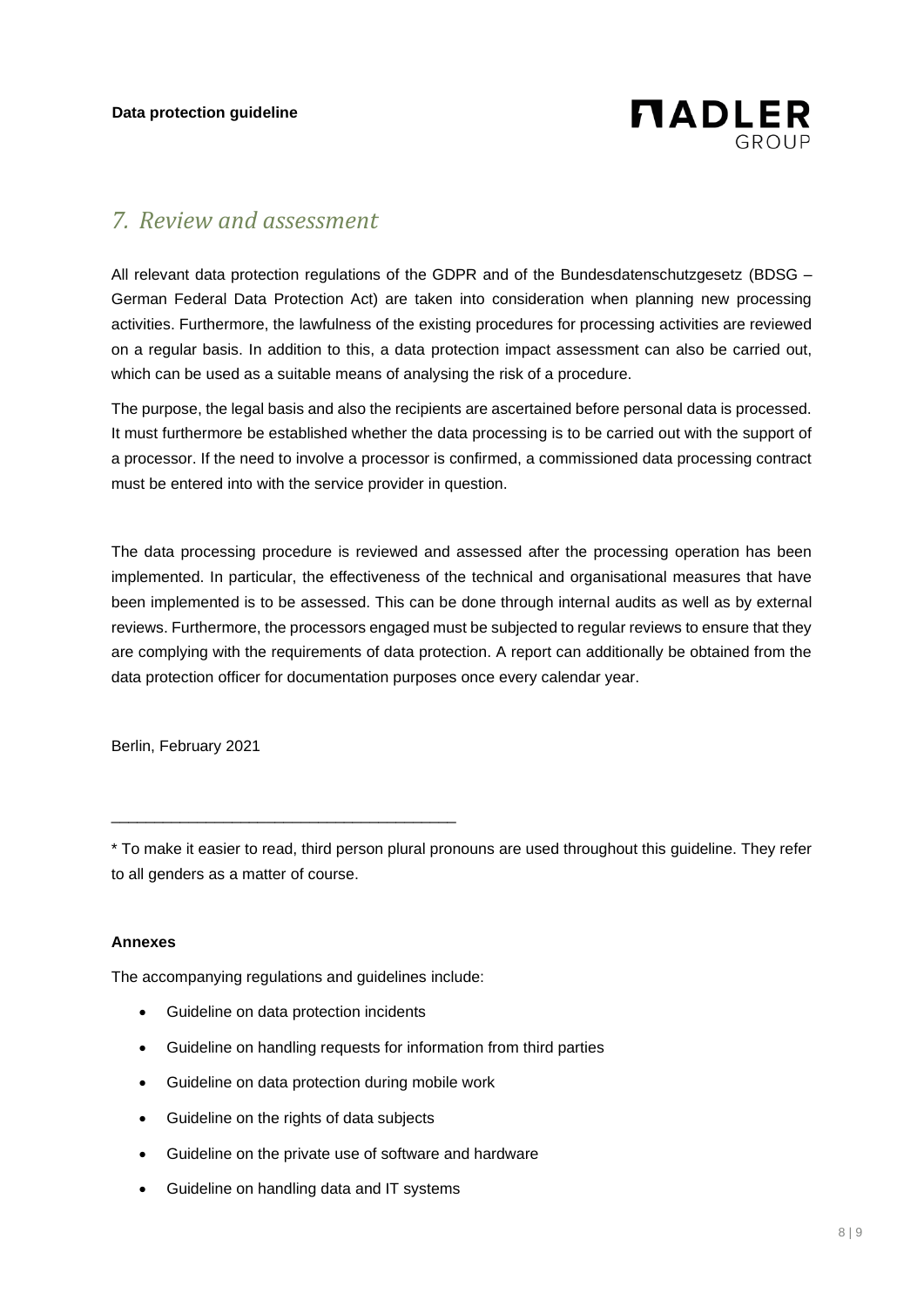

## <span id="page-7-0"></span>*7. Review and assessment*

All relevant data protection regulations of the GDPR and of the Bundesdatenschutzgesetz (BDSG – German Federal Data Protection Act) are taken into consideration when planning new processing activities. Furthermore, the lawfulness of the existing procedures for processing activities are reviewed on a regular basis. In addition to this, a data protection impact assessment can also be carried out, which can be used as a suitable means of analysing the risk of a procedure.

The purpose, the legal basis and also the recipients are ascertained before personal data is processed. It must furthermore be established whether the data processing is to be carried out with the support of a processor. If the need to involve a processor is confirmed, a commissioned data processing contract must be entered into with the service provider in question.

The data processing procedure is reviewed and assessed after the processing operation has been implemented. In particular, the effectiveness of the technical and organisational measures that have been implemented is to be assessed. This can be done through internal audits as well as by external reviews. Furthermore, the processors engaged must be subjected to regular reviews to ensure that they are complying with the requirements of data protection. A report can additionally be obtained from the data protection officer for documentation purposes once every calendar year.

Berlin, February 2021

\* To make it easier to read, third person plural pronouns are used throughout this guideline. They refer to all genders as a matter of course.

#### **Annexes**

The accompanying regulations and guidelines include:

• Guideline on data protection incidents

\_\_\_\_\_\_\_\_\_\_\_\_\_\_\_\_\_\_\_\_\_\_\_\_\_\_\_\_\_\_\_\_\_\_\_\_\_\_\_\_

- Guideline on handling requests for information from third parties
- Guideline on data protection during mobile work
- Guideline on the rights of data subjects
- Guideline on the private use of software and hardware
- Guideline on handling data and IT systems